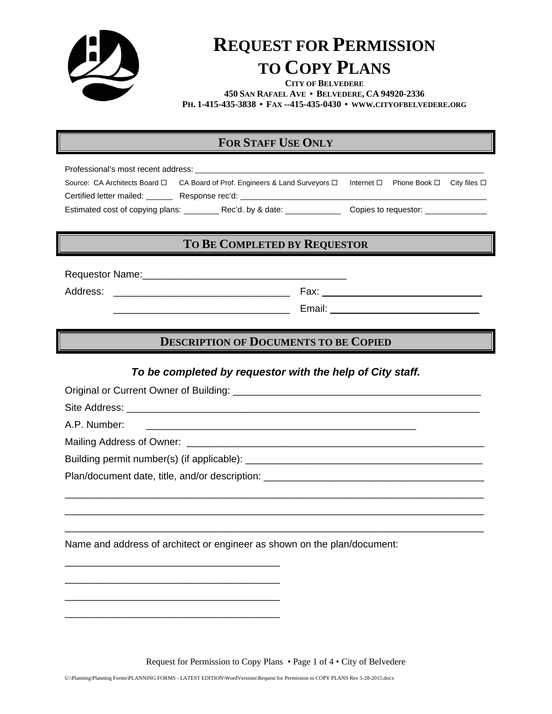

# **REQUEST FOR PERMISSION TO COPY PLANS**

**CITY OF BELVEDERE 450 SAN RAFAEL AVE • BELVEDERE, CA 94920-2336 PH. 1-415-435-3838 • FAX --415-435-0430 • WWW.CITYOFBELVEDERE.ORG**

## **FOR STAFF USE ONLY**

Professional's most recent address: \_\_\_\_\_\_\_\_\_\_\_\_\_\_\_\_\_\_\_\_\_\_\_\_\_\_\_\_\_\_\_\_\_\_\_\_\_\_\_\_\_\_\_\_\_\_\_\_\_\_\_\_\_\_\_\_\_\_\_\_\_\_\_\_\_\_\_\_\_\_\_\_ Source: CA Architects Board  $\Box$  CA Board of Prof. Engineers & Land Surveyors  $\Box$  Internet  $\Box$  Phone Book  $\Box$  City files  $\Box$ Certified letter mailed: \_\_\_\_\_\_ Response rec'd: \_\_\_\_\_\_\_\_\_\_\_\_\_\_\_\_\_\_\_\_\_\_\_\_\_\_\_\_\_\_\_\_ Estimated cost of copying plans: \_\_\_\_\_\_\_\_\_Rec'd. by & date: \_\_\_\_\_\_\_\_\_\_\_\_\_\_\_Copies to requestor: \_\_

#### **TO BE COMPLETED BY REQUESTOR**

Requestor Name:\_\_\_\_\_\_\_\_\_\_\_\_\_\_\_\_\_\_\_\_\_\_\_\_\_\_\_\_\_\_\_\_\_\_\_\_\_

Address: \_\_\_\_\_\_\_\_\_\_\_\_\_\_\_\_\_\_\_\_\_\_\_\_\_\_\_\_\_\_\_\_ Fax: \_\_\_\_\_\_\_\_\_\_\_\_\_\_\_\_\_\_\_\_\_\_\_\_\_\_\_\_\_

 $E$ mail:  $E$ mail:  $E$ 

### **DESCRIPTION OF DOCUMENTS TO BE COPIED**

#### *To be completed by requestor with the help of City staff.*

\_\_\_\_\_\_\_\_\_\_\_\_\_\_\_\_\_\_\_\_\_\_\_\_\_\_\_\_\_\_\_\_\_\_\_\_\_\_\_\_\_\_\_\_\_\_\_\_\_\_\_\_\_\_\_\_\_\_\_\_\_\_\_\_\_\_\_\_\_\_\_\_\_\_\_\_ \_\_\_\_\_\_\_\_\_\_\_\_\_\_\_\_\_\_\_\_\_\_\_\_\_\_\_\_\_\_\_\_\_\_\_\_\_\_\_\_\_\_\_\_\_\_\_\_\_\_\_\_\_\_\_\_\_\_\_\_\_\_\_\_\_\_\_\_\_\_\_\_\_\_\_\_ \_\_\_\_\_\_\_\_\_\_\_\_\_\_\_\_\_\_\_\_\_\_\_\_\_\_\_\_\_\_\_\_\_\_\_\_\_\_\_\_\_\_\_\_\_\_\_\_\_\_\_\_\_\_\_\_\_\_\_\_\_\_\_\_\_\_\_\_\_\_\_\_\_\_\_\_

Original or Current Owner of Building: \_\_\_\_\_\_\_\_\_\_\_\_\_\_\_\_\_\_\_\_\_\_\_\_\_\_\_\_\_\_\_\_\_\_\_\_\_\_\_\_\_\_\_\_\_

Site Address: \_\_\_\_\_\_\_\_\_\_\_\_\_\_\_\_\_\_\_\_\_\_\_\_\_\_\_\_\_\_\_\_\_\_\_\_\_\_\_\_\_\_\_\_\_\_\_\_\_\_\_\_\_\_\_\_\_\_\_\_\_\_\_\_

A.P. Number:

Mailing Address of Owner: \_\_\_\_\_\_\_\_\_\_\_\_\_\_\_\_\_\_\_\_\_\_\_\_\_\_\_\_\_\_\_\_\_\_\_\_\_\_\_\_\_\_\_\_\_\_\_\_\_\_\_\_\_\_

Building permit number(s) (if applicable): \_\_\_\_\_\_\_\_\_\_\_\_\_\_\_\_\_\_\_\_\_\_\_\_\_\_\_\_\_\_\_\_\_\_\_\_\_\_\_\_\_\_\_

Plan/document date, title, and/or description: \_\_\_\_\_\_\_\_\_\_\_\_\_\_\_\_\_\_\_\_\_\_\_\_\_\_\_\_\_\_\_\_\_

\_\_\_\_\_\_\_\_\_\_\_\_\_\_\_\_\_\_\_\_\_\_\_\_\_\_\_\_\_\_\_\_\_\_\_\_\_\_\_ \_\_\_\_\_\_\_\_\_\_\_\_\_\_\_\_\_\_\_\_\_\_\_\_\_\_\_\_\_\_\_\_\_\_\_\_\_\_\_ \_\_\_\_\_\_\_\_\_\_\_\_\_\_\_\_\_\_\_\_\_\_\_\_\_\_\_\_\_\_\_\_\_\_\_\_\_\_\_ \_\_\_\_\_\_\_\_\_\_\_\_\_\_\_\_\_\_\_\_\_\_\_\_\_\_\_\_\_\_\_\_\_\_\_\_\_\_\_

Name and address of architect or engineer as shown on the plan/document:

Request for Permission to Copy Plans • Page 1 of 4 • City of Belvedere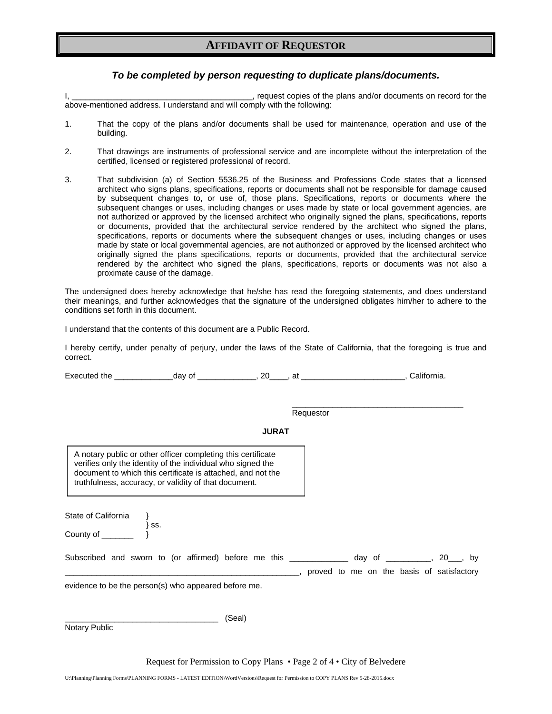#### **AFFIDAVIT OF REQUESTOR**

#### *To be completed by person requesting to duplicate plans/documents.*

I, \_\_\_\_\_\_\_\_\_\_\_\_\_\_\_\_\_\_\_\_\_\_\_\_\_\_\_\_\_\_\_\_\_\_\_\_\_\_\_\_, request copies of the plans and/or documents on record for the above-mentioned address. I understand and will comply with the following:

- 1. That the copy of the plans and/or documents shall be used for maintenance, operation and use of the building.
- 2. That drawings are instruments of professional service and are incomplete without the interpretation of the certified, licensed or registered professional of record.
- 3. That subdivision (a) of Section 5536.25 of the Business and Professions Code states that a licensed architect who signs plans, specifications, reports or documents shall not be responsible for damage caused by subsequent changes to, or use of, those plans. Specifications, reports or documents where the subsequent changes or uses, including changes or uses made by state or local government agencies, are not authorized or approved by the licensed architect who originally signed the plans, specifications, reports or documents, provided that the architectural service rendered by the architect who signed the plans, specifications, reports or documents where the subsequent changes or uses, including changes or uses made by state or local governmental agencies, are not authorized or approved by the licensed architect who originally signed the plans specifications, reports or documents, provided that the architectural service rendered by the architect who signed the plans, specifications, reports or documents was not also a proximate cause of the damage.

The undersigned does hereby acknowledge that he/she has read the foregoing statements, and does understand their meanings, and further acknowledges that the signature of the undersigned obligates him/her to adhere to the conditions set forth in this document.

I understand that the contents of this document are a Public Record.

I hereby certify, under penalty of perjury, under the laws of the State of California, that the foregoing is true and correct.

Executed the \_\_\_\_\_\_\_\_\_\_\_\_\_day of \_\_\_\_\_\_\_\_\_\_\_\_\_, 20\_\_\_\_, at \_\_\_\_\_\_\_\_\_\_\_\_\_\_\_\_\_\_\_\_\_\_\_, California.

 $\overline{\phantom{a}}$  , and the contract of the contract of the contract of the contract of the contract of the contract of the contract of the contract of the contract of the contract of the contract of the contract of the contrac Requestor

#### **JURAT**

A notary public or other officer completing this certificate verifies only the identity of the individual who signed the document to which this certificate is attached, and not the truthfulness, accuracy, or validity of that document.

State of California  $\{$  ss.  $\}$  ss.

County of \_\_\_\_\_\_\_ }

| Subscribed and sworn to (or affirmed) before me this |  |  |  |  |  |  |  | dav of the state of the state of the state of the state of the state of the state of the state of the state of |  |  |  | . 20 . by                                 |  |
|------------------------------------------------------|--|--|--|--|--|--|--|----------------------------------------------------------------------------------------------------------------|--|--|--|-------------------------------------------|--|
|                                                      |  |  |  |  |  |  |  |                                                                                                                |  |  |  | proved to me on the basis of satisfactory |  |

evidence to be the person(s) who appeared before me.

Notary Public

\_\_\_\_\_\_\_\_\_\_\_\_\_\_\_\_\_\_\_\_\_\_\_\_\_\_\_\_\_\_\_\_\_\_ (Seal)

Request for Permission to Copy Plans • Page 2 of 4 • City of Belvedere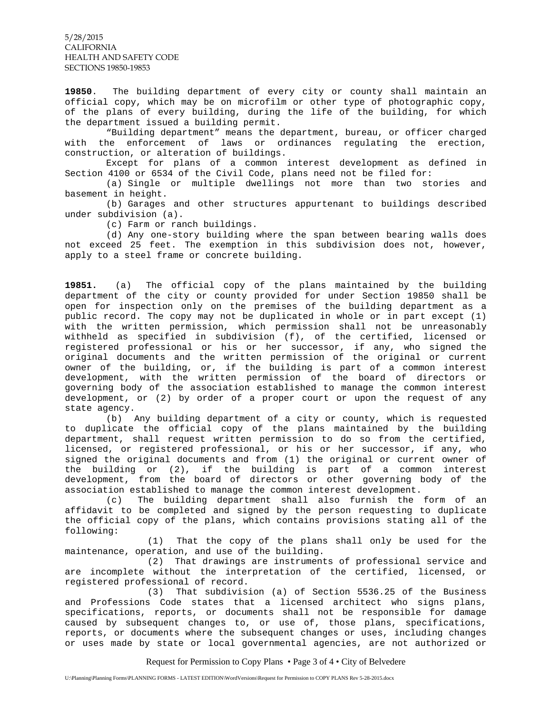5/28/2015 CALIFORNIA HEALTH AND SAFETY CODE SECTIONS 19850-19853

**19850**. The building department of every city or county shall maintain an official copy, which may be on microfilm or other type of photographic copy, of the plans of every building, during the life of the building, for which the department issued a building permit.

 "Building department" means the department, bureau, or officer charged with the enforcement of laws or ordinances regulating the erection, construction, or alteration of buildings.

 Except for plans of a common interest development as defined in Section 4100 or 6534 of the Civil Code, plans need not be filed for:

 (a) Single or multiple dwellings not more than two stories and basement in height.

 (b) Garages and other structures appurtenant to buildings described under subdivision (a).

(c) Farm or ranch buildings.

 (d) Any one-story building where the span between bearing walls does not exceed 25 feet. The exemption in this subdivision does not, however, apply to a steel frame or concrete building.

**19851.** (a) The official copy of the plans maintained by the building department of the city or county provided for under Section 19850 shall be open for inspection only on the premises of the building department as a public record. The copy may not be duplicated in whole or in part except (1) with the written permission, which permission shall not be unreasonably withheld as specified in subdivision (f), of the certified, licensed or registered professional or his or her successor, if any, who signed the original documents and the written permission of the original or current owner of the building, or, if the building is part of a common interest development, with the written permission of the board of directors or governing body of the association established to manage the common interest development, or (2) by order of a proper court or upon the request of any state agency.

 (b) Any building department of a city or county, which is requested to duplicate the official copy of the plans maintained by the building department, shall request written permission to do so from the certified, licensed, or registered professional, or his or her successor, if any, who signed the original documents and from (1) the original or current owner of the building or (2), if the building is part of a common interest development, from the board of directors or other governing body of the association established to manage the common interest development.

 (c) The building department shall also furnish the form of an affidavit to be completed and signed by the person requesting to duplicate the official copy of the plans, which contains provisions stating all of the following:

 (1) That the copy of the plans shall only be used for the maintenance, operation, and use of the building.

 (2) That drawings are instruments of professional service and are incomplete without the interpretation of the certified, licensed, or registered professional of record.

 (3) That subdivision (a) of Section 5536.25 of the Business and Professions Code states that a licensed architect who signs plans, specifications, reports, or documents shall not be responsible for damage caused by subsequent changes to, or use of, those plans, specifications, reports, or documents where the subsequent changes or uses, including changes or uses made by state or local governmental agencies, are not authorized or

Request for Permission to Copy Plans • Page 3 of 4 • City of Belvedere